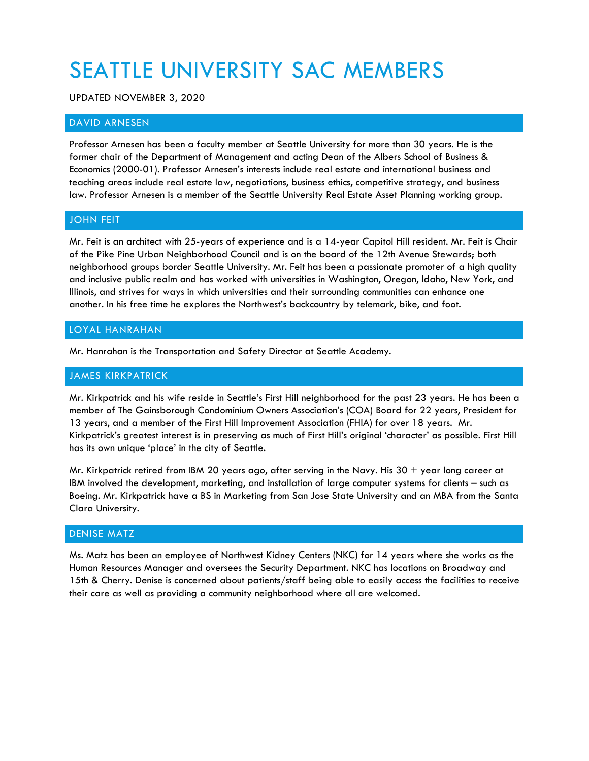# SEATTLE UNIVERSITY SAC MEMBERS

UPDATED NOVEMBER 3, 2020

## DAVID ARNESEN

Professor Arnesen has been a faculty member at Seattle University for more than 30 years. He is the former chair of the Department of Management and acting Dean of the Albers School of Business & Economics (2000-01). Professor Arnesen's interests include real estate and international business and teaching areas include real estate law, negotiations, business ethics, competitive strategy, and business law. Professor Arnesen is a member of the Seattle University Real Estate Asset Planning working group.

## JOHN FEIT

Mr. Feit is an architect with 25-years of experience and is a 14-year Capitol Hill resident. Mr. Feit is Chair of the Pike Pine Urban Neighborhood Council and is on the board of the 12th Avenue Stewards; both neighborhood groups border Seattle University. Mr. Feit has been a passionate promoter of a high quality and inclusive public realm and has worked with universities in Washington, Oregon, Idaho, New York, and Illinois, and strives for ways in which universities and their surrounding communities can enhance one another. In his free time he explores the Northwest's backcountry by telemark, bike, and foot.

## LOYAL HANRAHAN

Mr. Hanrahan is the Transportation and Safety Director at Seattle Academy.

## JAMES KIRKPATRICK

Mr. Kirkpatrick and his wife reside in Seattle's First Hill neighborhood for the past 23 years. He has been a member of The Gainsborough Condominium Owners Association's (COA) Board for 22 years, President for 13 years, and a member of the First Hill Improvement Association (FHIA) for over 18 years. Mr. Kirkpatrick's greatest interest is in preserving as much of First Hill's original 'character' as possible. First Hill has its own unique 'place' in the city of Seattle.

Mr. Kirkpatrick retired from IBM 20 years ago, after serving in the Navy. His  $30 +$  year long career at IBM involved the development, marketing, and installation of large computer systems for clients – such as Boeing. Mr. Kirkpatrick have a BS in Marketing from San Jose State University and an MBA from the Santa Clara University.

## DENISE MATZ

Ms. Matz has been an employee of Northwest Kidney Centers (NKC) for 14 years where she works as the Human Resources Manager and oversees the Security Department. NKC has locations on Broadway and 15th & Cherry. Denise is concerned about patients/staff being able to easily access the facilities to receive their care as well as providing a community neighborhood where all are welcomed.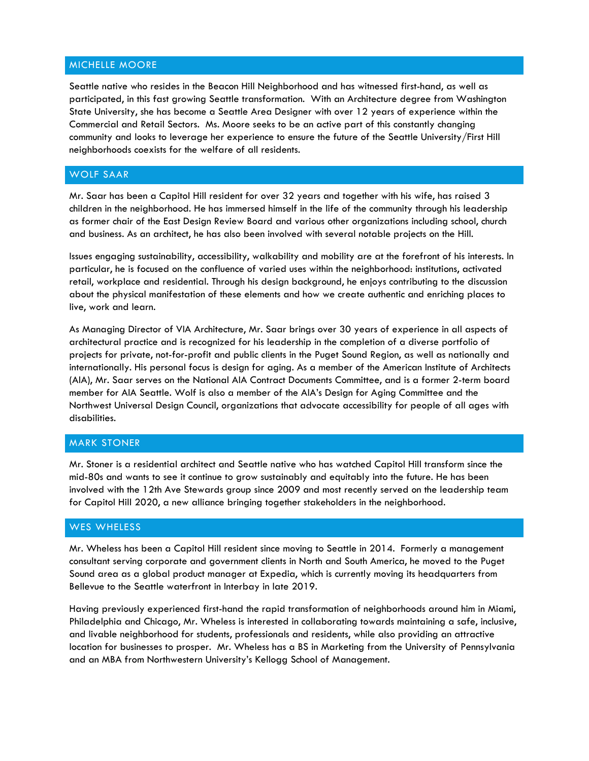## MICHELLE MOORE

Seattle native who resides in the Beacon Hill Neighborhood and has witnessed first-hand, as well as participated, in this fast growing Seattle transformation. With an Architecture degree from Washington State University, she has become a Seattle Area Designer with over 12 years of experience within the Commercial and Retail Sectors. Ms. Moore seeks to be an active part of this constantly changing community and looks to leverage her experience to ensure the future of the Seattle University/First Hill neighborhoods coexists for the welfare of all residents.

## WOLF SAAR

Mr. Saar has been a Capitol Hill resident for over 32 years and together with his wife, has raised 3 children in the neighborhood. He has immersed himself in the life of the community through his leadership as former chair of the East Design Review Board and various other organizations including school, church and business. As an architect, he has also been involved with several notable projects on the Hill.

Issues engaging sustainability, accessibility, walkability and mobility are at the forefront of his interests. In particular, he is focused on the confluence of varied uses within the neighborhood: institutions, activated retail, workplace and residential. Through his design background, he enjoys contributing to the discussion about the physical manifestation of these elements and how we create authentic and enriching places to live, work and learn.

As Managing Director of VIA Architecture, Mr. Saar brings over 30 years of experience in all aspects of architectural practice and is recognized for his leadership in the completion of a diverse portfolio of projects for private, not-for-profit and public clients in the Puget Sound Region, as well as nationally and internationally. His personal focus is design for aging. As a member of the American Institute of Architects (AIA), Mr. Saar serves on the National AIA Contract Documents Committee, and is a former 2-term board member for AIA Seattle. Wolf is also a member of the AIA's Design for Aging Committee and the Northwest Universal Design Council, organizations that advocate accessibility for people of all ages with disabilities.

## MARK STONER

Mr. Stoner is a residential architect and Seattle native who has watched Capitol Hill transform since the mid-80s and wants to see it continue to grow sustainably and equitably into the future. He has been involved with the 12th Ave Stewards group since 2009 and most recently served on the leadership team for Capitol Hill 2020, a new alliance bringing together stakeholders in the neighborhood.

## WES WHELESS

Mr. Wheless has been a Capitol Hill resident since moving to Seattle in 2014. Formerly a management consultant serving corporate and government clients in North and South America, he moved to the Puget Sound area as a global product manager at Expedia, which is currently moving its headquarters from Bellevue to the Seattle waterfront in Interbay in late 2019.

Having previously experienced first-hand the rapid transformation of neighborhoods around him in Miami, Philadelphia and Chicago, Mr. Wheless is interested in collaborating towards maintaining a safe, inclusive, and livable neighborhood for students, professionals and residents, while also providing an attractive location for businesses to prosper. Mr. Wheless has a BS in Marketing from the University of Pennsylvania and an MBA from Northwestern University's Kellogg School of Management.